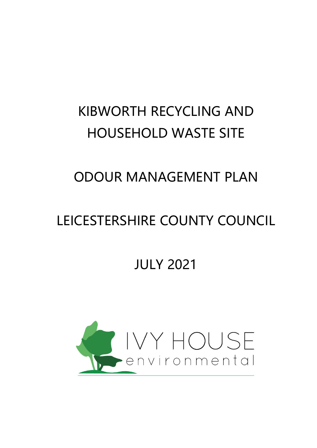# KIBWORTH RECYCLING AND HOUSEHOLD WASTE SITE

## ODOUR MANAGEMENT PLAN

## LEICESTERSHIRE COUNTY COUNCIL

## JULY 2021

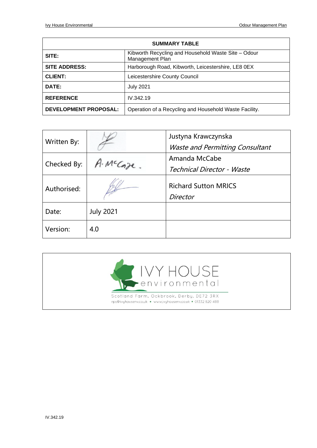| <b>SUMMARY TABLE</b>         |                                                                        |  |  |  |
|------------------------------|------------------------------------------------------------------------|--|--|--|
| SITE:                        | Kibworth Recycling and Household Waste Site - Odour<br>Management Plan |  |  |  |
| <b>SITE ADDRESS:</b>         | Harborough Road, Kibworth, Leicestershire, LE8 0EX                     |  |  |  |
| <b>CLIENT:</b>               | Leicestershire County Council                                          |  |  |  |
| DATE:                        | <b>July 2021</b>                                                       |  |  |  |
| <b>REFERENCE</b>             | IV.342.19                                                              |  |  |  |
| <b>DEVELOPMENT PROPOSAL:</b> | Operation of a Recycling and Household Waste Facility.                 |  |  |  |

| Written By: |                  | Justyna Krawczynska                     |
|-------------|------------------|-----------------------------------------|
|             |                  | <b>Waste and Permitting Consultant</b>  |
| Checked By: | McCaze.          | Amanda McCabe                           |
|             |                  | Technical Director - Waste              |
| Authorised: |                  | <b>Richard Sutton MRICS</b><br>Director |
| Date:       | <b>July 2021</b> |                                         |
| Version:    | 4.0              |                                         |

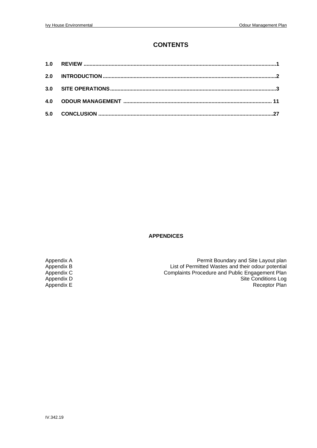#### **CONTENTS**

| 2.0 |  |
|-----|--|
| 3.0 |  |
|     |  |
| 5.0 |  |

#### **APPENDICES**

Appendix A<br>
Appendix B Appendix B Appendix B Appendix B Appendix B Appendix B Appendix B Appendix B Appendix B Appendix B<br>
Appendix C<br>
Appendix C<br>
Appendix C<br>
Appendix C<br>
Appendix C<br>
Appendix C<br>
Appendix C<br>
Appendix C<br>
Appendix C<br>
Appendix C<br>
Appendix C<br>
Appendix C<br>
Appendix C<br>
Appendix C<br>
Appendix C<br>
Appendix C<br>
Appendix C<br>
Append Appendix C<br>
Appendix C<br>
Appendix D<br>
Complaints Procedure and Public Engagement Plan<br>
Site Conditions Log Appendix D<br>
Appendix E<br>
Appendix E<br>
Receptor Plan Receptor Plan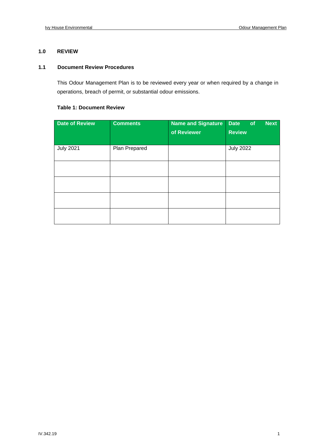#### **1.0 REVIEW**

#### **1.1 Document Review Procedures**

This Odour Management Plan is to be reviewed every year or when required by a change in operations, breach of permit, or substantial odour emissions.

#### **Table 1: Document Review**

| <b>Date of Review</b> | <b>Comments</b> | <b>Name and Signature</b><br>of Reviewer | <b>Next</b><br><b>Date</b><br>of<br><b>Review</b> |
|-----------------------|-----------------|------------------------------------------|---------------------------------------------------|
| <b>July 2021</b>      | Plan Prepared   |                                          | <b>July 2022</b>                                  |
|                       |                 |                                          |                                                   |
|                       |                 |                                          |                                                   |
|                       |                 |                                          |                                                   |
|                       |                 |                                          |                                                   |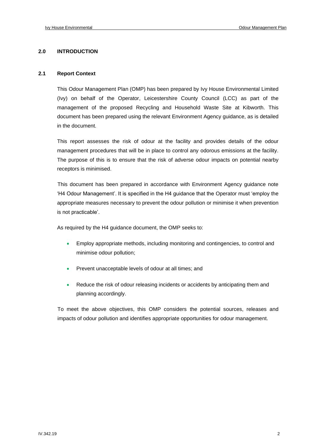#### **2.0 INTRODUCTION**

#### **2.1 Report Context**

This Odour Management Plan (OMP) has been prepared by Ivy House Environmental Limited (Ivy) on behalf of the Operator, Leicestershire County Council (LCC) as part of the management of the proposed Recycling and Household Waste Site at Kibworth. This document has been prepared using the relevant Environment Agency guidance, as is detailed in the document.

This report assesses the risk of odour at the facility and provides details of the odour management procedures that will be in place to control any odorous emissions at the facility. The purpose of this is to ensure that the risk of adverse odour impacts on potential nearby receptors is minimised.

This document has been prepared in accordance with Environment Agency guidance note 'H4 Odour Management'. It is specified in the H4 guidance that the Operator must 'employ the appropriate measures necessary to prevent the odour pollution or minimise it when prevention is not practicable'.

As required by the H4 guidance document, the OMP seeks to:

- Employ appropriate methods, including monitoring and contingencies, to control and minimise odour pollution;
- Prevent unacceptable levels of odour at all times; and
- Reduce the risk of odour releasing incidents or accidents by anticipating them and planning accordingly.

To meet the above objectives, this OMP considers the potential sources, releases and impacts of odour pollution and identifies appropriate opportunities for odour management.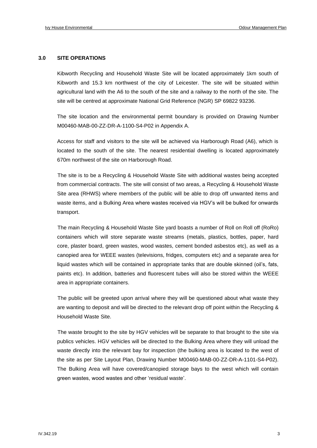#### **3.0 SITE OPERATIONS**

Kibworth Recycling and Household Waste Site will be located approximately 1km south of Kibworth and 15.3 km northwest of the city of Leicester. The site will be situated within agricultural land with the A6 to the south of the site and a railway to the north of the site. The site will be centred at approximate National Grid Reference (NGR) SP 69822 93236.

The site location and the environmental permit boundary is provided on Drawing Number M00460-MAB-00-ZZ-DR-A-1100-S4-P02 in Appendix A.

Access for staff and visitors to the site will be achieved via Harborough Road (A6), which is located to the south of the site. The nearest residential dwelling is located approximately 670m northwest of the site on Harborough Road.

The site is to be a Recycling & Household Waste Site with additional wastes being accepted from commercial contracts. The site will consist of two areas, a Recycling & Household Waste Site area (RHWS) where members of the public will be able to drop off unwanted items and waste items, and a Bulking Area where wastes received via HGV's will be bulked for onwards transport.

The main Recycling & Household Waste Site yard boasts a number of Roll on Roll off (RoRo) containers which will store separate waste streams (metals, plastics, bottles, paper, hard core, plaster board, green wastes, wood wastes, cement bonded asbestos etc), as well as a canopied area for WEEE wastes (televisions, fridges, computers etc) and a separate area for liquid wastes which will be contained in appropriate tanks that are double skinned (oil's, fats, paints etc). In addition, batteries and fluorescent tubes will also be stored within the WEEE area in appropriate containers.

The public will be greeted upon arrival where they will be questioned about what waste they are wanting to deposit and will be directed to the relevant drop off point within the Recycling & Household Waste Site.

The waste brought to the site by HGV vehicles will be separate to that brought to the site via publics vehicles. HGV vehicles will be directed to the Bulking Area where they will unload the waste directly into the relevant bay for inspection (the bulking area is located to the west of the site as per Site Layout Plan, Drawing Number M00460-MAB-00-ZZ-DR-A-1101-S4-P02). The Bulking Area will have covered/canopied storage bays to the west which will contain green wastes, wood wastes and other 'residual waste'.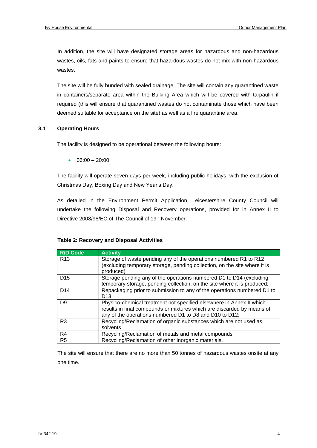In addition, the site will have designated storage areas for hazardous and non-hazardous wastes, oils, fats and paints to ensure that hazardous wastes do not mix with non-hazardous wastes.

The site will be fully bunded with sealed drainage. The site will contain any quarantined waste in containers/separate area within the Bulking Area which will be covered with tarpaulin if required (this will ensure that quarantined wastes do not contaminate those which have been deemed suitable for acceptance on the site) as well as a fire quarantine area.

#### **3.1 Operating Hours**

The facility is designed to be operational between the following hours:

 $\bullet$  06:00 – 20:00

The facility will operate seven days per week, including public holidays, with the exclusion of Christmas Day, Boxing Day and New Year's Day.

As detailed in the Environment Permit Application, Leicestershire County Council will undertake the following Disposal and Recovery operations, provided for in Annex II to Directive 2008/98/EC of The Council of 19th November.

#### **Table 2: Recovery and Disposal Activities**

| <b>R/D Code</b> | <b>Activity</b>                                                                                                                                                                                           |
|-----------------|-----------------------------------------------------------------------------------------------------------------------------------------------------------------------------------------------------------|
| R <sub>13</sub> | Storage of waste pending any of the operations numbered R1 to R12<br>(excluding temporary storage, pending collection, on the site where it is<br>produced)                                               |
| D <sub>15</sub> | Storage pending any of the operations numbered D1 to D14 (excluding<br>temporary storage, pending collection, on the site where it is produced;                                                           |
| D <sub>14</sub> | Repackaging prior to submission to any of the operations numbered D1 to<br>D <sub>13</sub> :                                                                                                              |
| D <sub>9</sub>  | Physico-chemical treatment not specified elsewhere in Annex II which<br>results in final compounds or mixtures which are discarded by means of<br>any of the operations numbered D1 to D8 and D10 to D12; |
| R <sub>3</sub>  | Recycling/Reclamation of organic substances which are not used as<br>solvents                                                                                                                             |
| R4              | Recycling/Reclamation of metals and metal compounds                                                                                                                                                       |
| R <sub>5</sub>  | Recycling/Reclamation of other inorganic materials.                                                                                                                                                       |

The site will ensure that there are no more than 50 tonnes of hazardous wastes onsite at any one time.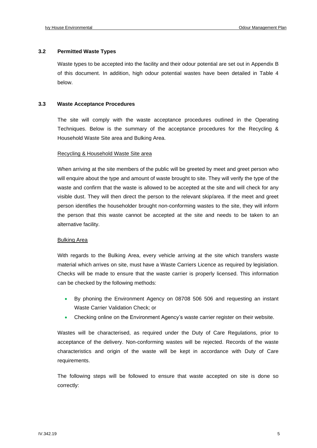#### **3.2 Permitted Waste Types**

Waste types to be accepted into the facility and their odour potential are set out in Appendix B of this document. In addition, high odour potential wastes have been detailed in Table 4 below.

#### **3.3 Waste Acceptance Procedures**

The site will comply with the waste acceptance procedures outlined in the Operating Techniques. Below is the summary of the acceptance procedures for the Recycling & Household Waste Site area and Bulking Area.

#### Recycling & Household Waste Site area

When arriving at the site members of the public will be greeted by meet and greet person who will enquire about the type and amount of waste brought to site. They will verify the type of the waste and confirm that the waste is allowed to be accepted at the site and will check for any visible dust. They will then direct the person to the relevant skip/area. If the meet and greet person identifies the householder brought non-conforming wastes to the site, they will inform the person that this waste cannot be accepted at the site and needs to be taken to an alternative facility.

#### Bulking Area

With regards to the Bulking Area, every vehicle arriving at the site which transfers waste material which arrives on site, must have a Waste Carriers Licence as required by legislation. Checks will be made to ensure that the waste carrier is properly licensed. This information can be checked by the following methods:

- By phoning the Environment Agency on 08708 506 506 and requesting an instant Waste Carrier Validation Check; or
- Checking online on the Environment Agency's waste carrier register on their website.

Wastes will be characterised, as required under the Duty of Care Regulations, prior to acceptance of the delivery. Non-conforming wastes will be rejected. Records of the waste characteristics and origin of the waste will be kept in accordance with Duty of Care requirements.

The following steps will be followed to ensure that waste accepted on site is done so correctly: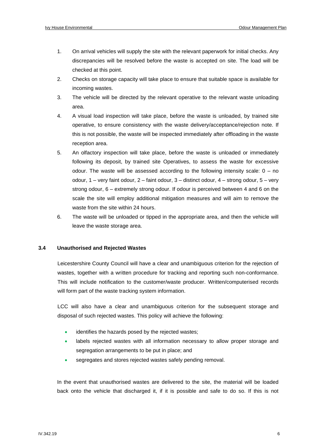- 1. On arrival vehicles will supply the site with the relevant paperwork for initial checks. Any discrepancies will be resolved before the waste is accepted on site. The load will be checked at this point.
- 2. Checks on storage capacity will take place to ensure that suitable space is available for incoming wastes.
- 3. The vehicle will be directed by the relevant operative to the relevant waste unloading area.
- 4. A visual load inspection will take place, before the waste is unloaded, by trained site operative, to ensure consistency with the waste delivery/acceptance/rejection note. If this is not possible, the waste will be inspected immediately after offloading in the waste reception area.
- 5. An olfactory inspection will take place, before the waste is unloaded or immediately following its deposit, by trained site Operatives, to assess the waste for excessive odour. The waste will be assessed according to the following intensity scale:  $0 - no$ odour, 1 – very faint odour, 2 – faint odour, 3 – distinct odour, 4 – strong odour, 5 – very strong odour, 6 – extremely strong odour. If odour is perceived between 4 and 6 on the scale the site will employ additional mitigation measures and will aim to remove the waste from the site within 24 hours.
- 6. The waste will be unloaded or tipped in the appropriate area, and then the vehicle will leave the waste storage area.

#### **3.4 Unauthorised and Rejected Wastes**

Leicestershire County Council will have a clear and unambiguous criterion for the rejection of wastes, together with a written procedure for tracking and reporting such non-conformance. This will include notification to the customer/waste producer. Written/computerised records will form part of the waste tracking system information.

LCC will also have a clear and unambiguous criterion for the subsequent storage and disposal of such rejected wastes. This policy will achieve the following:

- identifies the hazards posed by the rejected wastes;
- labels rejected wastes with all information necessary to allow proper storage and segregation arrangements to be put in place; and
- segregates and stores rejected wastes safely pending removal.

In the event that unauthorised wastes are delivered to the site, the material will be loaded back onto the vehicle that discharged it, if it is possible and safe to do so. If this is not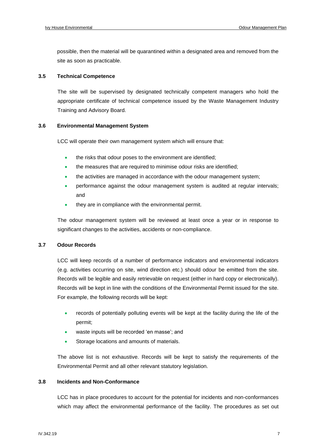possible, then the material will be quarantined within a designated area and removed from the site as soon as practicable.

#### **3.5 Technical Competence**

The site will be supervised by designated technically competent managers who hold the appropriate certificate of technical competence issued by the Waste Management Industry Training and Advisory Board.

#### **3.6 Environmental Management System**

LCC will operate their own management system which will ensure that:

- the risks that odour poses to the environment are identified;
- the measures that are required to minimise odour risks are identified;
- the activities are managed in accordance with the odour management system;
- performance against the odour management system is audited at regular intervals; and
- they are in compliance with the environmental permit.

The odour management system will be reviewed at least once a year or in response to significant changes to the activities, accidents or non-compliance.

#### **3.7 Odour Records**

LCC will keep records of a number of performance indicators and environmental indicators (e.g. activities occurring on site, wind direction etc.) should odour be emitted from the site. Records will be legible and easily retrievable on request (either in hard copy or electronically). Records will be kept in line with the conditions of the Environmental Permit issued for the site. For example, the following records will be kept:

- records of potentially polluting events will be kept at the facility during the life of the permit;
- waste inputs will be recorded 'en masse'; and
- Storage locations and amounts of materials.

The above list is not exhaustive. Records will be kept to satisfy the requirements of the Environmental Permit and all other relevant statutory legislation.

#### **3.8 Incidents and Non-Conformance**

LCC has in place procedures to account for the potential for incidents and non-conformances which may affect the environmental performance of the facility. The procedures as set out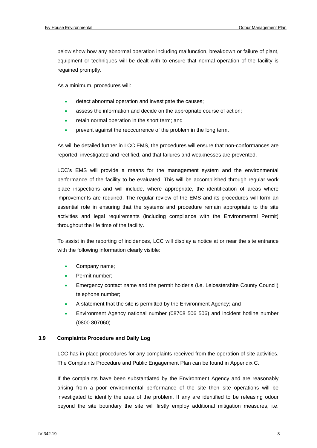below show how any abnormal operation including malfunction, breakdown or failure of plant, equipment or techniques will be dealt with to ensure that normal operation of the facility is regained promptly.

As a minimum, procedures will:

- detect abnormal operation and investigate the causes;
- assess the information and decide on the appropriate course of action;
- retain normal operation in the short term; and
- prevent against the reoccurrence of the problem in the long term.

As will be detailed further in LCC EMS, the procedures will ensure that non-conformances are reported, investigated and rectified, and that failures and weaknesses are prevented.

LCC's EMS will provide a means for the management system and the environmental performance of the facility to be evaluated. This will be accomplished through regular work place inspections and will include, where appropriate, the identification of areas where improvements are required. The regular review of the EMS and its procedures will form an essential role in ensuring that the systems and procedure remain appropriate to the site activities and legal requirements (including compliance with the Environmental Permit) throughout the life time of the facility.

To assist in the reporting of incidences, LCC will display a notice at or near the site entrance with the following information clearly visible:

- Company name;
- Permit number;
- Emergency contact name and the permit holder's (i.e. Leicestershire County Council) telephone number;
- A statement that the site is permitted by the Environment Agency; and
- Environment Agency national number (08708 506 506) and incident hotline number (0800 807060).

#### **3.9 Complaints Procedure and Daily Log**

LCC has in place procedures for any complaints received from the operation of site activities. The Complaints Procedure and Public Engagement Plan can be found in Appendix C.

If the complaints have been substantiated by the Environment Agency and are reasonably arising from a poor environmental performance of the site then site operations will be investigated to identify the area of the problem. If any are identified to be releasing odour beyond the site boundary the site will firstly employ additional mitigation measures, i.e.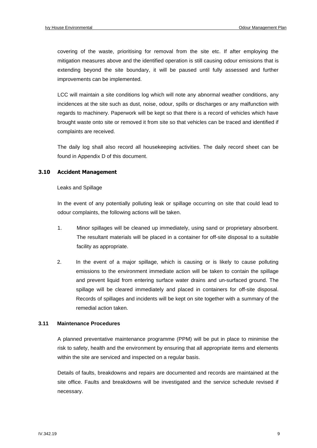covering of the waste, prioritising for removal from the site etc. If after employing the mitigation measures above and the identified operation is still causing odour emissions that is extending beyond the site boundary, it will be paused until fully assessed and further improvements can be implemented.

LCC will maintain a site conditions log which will note any abnormal weather conditions, any incidences at the site such as dust, noise, odour, spills or discharges or any malfunction with regards to machinery. Paperwork will be kept so that there is a record of vehicles which have brought waste onto site or removed it from site so that vehicles can be traced and identified if complaints are received.

The daily log shall also record all housekeeping activities. The daily record sheet can be found in Appendix D of this document.

#### **3.10 Accident Management**

#### Leaks and Spillage

In the event of any potentially polluting leak or spillage occurring on site that could lead to odour complaints, the following actions will be taken.

- 1. Minor spillages will be cleaned up immediately, using sand or proprietary absorbent. The resultant materials will be placed in a container for off-site disposal to a suitable facility as appropriate.
- 2. In the event of a major spillage, which is causing or is likely to cause polluting emissions to the environment immediate action will be taken to contain the spillage and prevent liquid from entering surface water drains and un-surfaced ground. The spillage will be cleared immediately and placed in containers for off-site disposal. Records of spillages and incidents will be kept on site together with a summary of the remedial action taken.

#### **3.11 Maintenance Procedures**

A planned preventative maintenance programme (PPM) will be put in place to minimise the risk to safety, health and the environment by ensuring that all appropriate items and elements within the site are serviced and inspected on a regular basis.

Details of faults, breakdowns and repairs are documented and records are maintained at the site office. Faults and breakdowns will be investigated and the service schedule revised if necessary.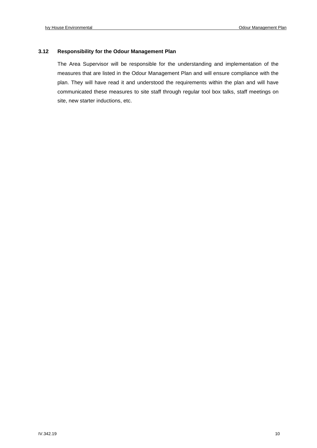#### **3.12 Responsibility for the Odour Management Plan**

The Area Supervisor will be responsible for the understanding and implementation of the measures that are listed in the Odour Management Plan and will ensure compliance with the plan. They will have read it and understood the requirements within the plan and will have communicated these measures to site staff through regular tool box talks, staff meetings on site, new starter inductions, etc.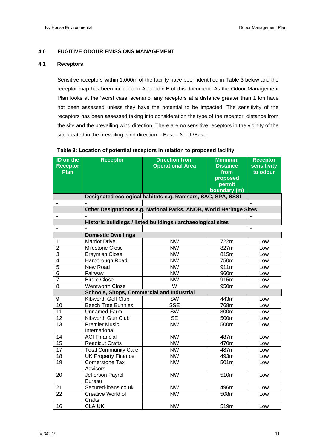#### **4.0 FUGITIVE ODOUR EMISSIONS MANAGEMENT**

#### **4.1 Receptors**

Sensitive receptors within 1,000m of the facility have been identified in Table 3 below and the receptor map has been included in Appendix E of this document. As the Odour Management Plan looks at the 'worst case' scenario, any receptors at a distance greater than 1 km have not been assessed unless they have the potential to be impacted. The sensitivity of the receptors has been assessed taking into consideration the type of the receptor, distance from the site and the prevailing wind direction. There are no sensitive receptors in the vicinity of the site located in the prevailing wind direction – East – North/East.

| ID on the                    | <b>Receptor</b>                           | <b>Direction from</b>                                              | <b>Minimum</b>  | <b>Receptor</b>    |
|------------------------------|-------------------------------------------|--------------------------------------------------------------------|-----------------|--------------------|
| <b>Receptor</b>              |                                           | <b>Operational Area</b>                                            | <b>Distance</b> | <b>sensitivity</b> |
| Plan                         |                                           |                                                                    | from            | to odour           |
|                              |                                           |                                                                    | proposed        |                    |
|                              |                                           |                                                                    | permit          |                    |
|                              |                                           |                                                                    | boundary (m)    |                    |
|                              |                                           | Designated ecological habitats e.g. Ramsars, SAC, SPA, SSSI        |                 |                    |
|                              |                                           |                                                                    |                 |                    |
|                              |                                           | Other Designations e.g. National Parks, ANOB, World Heritage Sites |                 |                    |
|                              |                                           |                                                                    |                 |                    |
|                              |                                           | Historic buildings / listed buildings / archaeological sites       |                 |                    |
| $\qquad \qquad \blacksquare$ |                                           |                                                                    |                 | $\blacksquare$     |
|                              | <b>Domestic Dwellings</b>                 |                                                                    |                 |                    |
| 1                            | <b>Marriot Drive</b>                      | <b>NW</b>                                                          | 722m            | Low                |
| $\overline{2}$               | Milestone Close                           | <b>NW</b>                                                          | 827m            | Low                |
| 3                            | <b>Braymish Close</b>                     | <b>NW</b>                                                          | 815m            | Low                |
| 4                            | Harborough Road                           | <b>NW</b>                                                          | 750m            | Low                |
| 5                            | New Road                                  | $\overline{\text{NW}}$                                             | 911m            | Low                |
| 6                            | Fairway                                   | <b>NW</b>                                                          | 960m            | Low                |
| 7                            | <b>Birdie Close</b>                       | <b>NW</b>                                                          | 915m            | Low                |
| 8                            | <b>Wentworth Close</b>                    | W                                                                  | 950m            | Low                |
|                              | Schools, Shops, Commercial and Industrial |                                                                    |                 |                    |
| 9                            | Kibworth Golf Club                        | SW                                                                 | 443m            | Low                |
| 10                           | <b>Beech Tree Bunnies</b>                 | <b>SSE</b>                                                         | 768m            | Low                |
| 11                           | <b>Unnamed Farm</b>                       | <b>SW</b>                                                          | 300m            | Low                |
| 12                           | Kibworth Gun Club                         | <b>SE</b>                                                          | 500m            | Low                |
| 13                           | <b>Premier Music</b>                      | <b>NW</b>                                                          | 500m            | Low                |
|                              | International                             |                                                                    |                 |                    |
| 14                           | <b>ACI Financial</b>                      | <b>NW</b>                                                          | 487m            | Low                |
| 15                           | <b>Readicut Crafts</b>                    | <b>NW</b>                                                          | 470m            | Low                |
| 17                           | <b>Total Community Care</b>               | <b>NW</b>                                                          | 487m            | Low                |
| 18                           | <b>UK Property Finance</b>                | <b>NW</b>                                                          | 493m            | Low                |
| 19                           | Cornerstone Tax                           | $\overline{\text{NW}}$                                             | 501m            | Low                |
|                              | Advisors                                  |                                                                    |                 |                    |
| 20                           | Jefferson Payroll                         | <b>NW</b>                                                          | 510m            | Low                |
|                              | <b>Bureau</b>                             |                                                                    |                 |                    |
| 21                           | Secured-loans.co.uk                       | <b>NW</b>                                                          | 496m            | Low                |
| 22                           | Creative World of                         | <b>NW</b>                                                          | 508m            | Low                |
|                              | Crafts                                    |                                                                    |                 |                    |
| 16                           | <b>CLA UK</b>                             | <b>NW</b>                                                          | 519m            | Low                |

#### **Table 3: Location of potential receptors in relation to proposed facility**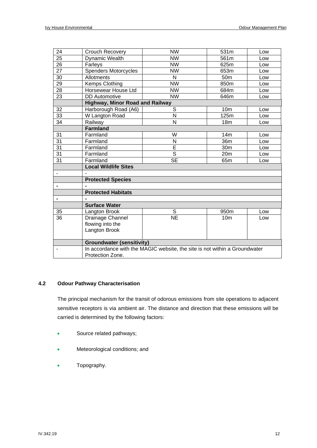| 24              | Crouch Recovery                        | <b>NW</b><br>531m<br>Low                                                   |                  |     |  |  |  |  |
|-----------------|----------------------------------------|----------------------------------------------------------------------------|------------------|-----|--|--|--|--|
| $\overline{25}$ | Dynamic Wealth                         | $\overline{\text{NW}}$                                                     | 561m             | Low |  |  |  |  |
| 26              | Farleys                                | <b>NW</b>                                                                  | 625m             | Low |  |  |  |  |
| $\overline{27}$ | <b>Spenders Motorcycles</b>            | $\overline{\text{NW}}$                                                     | 653m             | Low |  |  |  |  |
| 30              | <b>Allotments</b>                      | N                                                                          | 50 <sub>m</sub>  | Low |  |  |  |  |
| 29              | Kemps Clothing                         | <b>NW</b>                                                                  | 850m             | Low |  |  |  |  |
| 28              | Horsewear House Ltd                    | <b>NW</b>                                                                  | 684m             | Low |  |  |  |  |
| 23              | <b>DD</b> Automotive                   | $\overline{\text{NW}}$                                                     | 646m             | Low |  |  |  |  |
|                 | <b>Highway, Minor Road and Railway</b> |                                                                            |                  |     |  |  |  |  |
| 32              | Harborough Road (A6)                   | $\overline{s}$                                                             | 10 <sub>m</sub>  | Low |  |  |  |  |
| 33              | W Langton Road                         | N                                                                          | 125m             | Low |  |  |  |  |
| 34              | Railway                                | $\overline{\mathsf{N}}$                                                    | 18 <sub>m</sub>  | Low |  |  |  |  |
|                 | Farmland                               |                                                                            |                  |     |  |  |  |  |
| 31              | Farmland                               | W                                                                          | 14m              | Low |  |  |  |  |
| 31              | Farmland                               | N                                                                          | 36m              | Low |  |  |  |  |
| 31              | Farmland                               | $\overline{\mathsf{E}}$                                                    | 30m              | Low |  |  |  |  |
| 31              | Farmland                               | S                                                                          | 20 <sub>m</sub>  | Low |  |  |  |  |
| 31              | Farmland                               | <b>SE</b>                                                                  | 65 <sub>m</sub>  | Low |  |  |  |  |
|                 | <b>Local Wildlife Sites</b>            |                                                                            |                  |     |  |  |  |  |
|                 |                                        |                                                                            |                  |     |  |  |  |  |
|                 | <b>Protected Species</b>               |                                                                            |                  |     |  |  |  |  |
| -               |                                        |                                                                            |                  |     |  |  |  |  |
|                 | <b>Protected Habitats</b>              |                                                                            |                  |     |  |  |  |  |
| -               |                                        |                                                                            |                  |     |  |  |  |  |
|                 | <b>Surface Water</b>                   |                                                                            |                  |     |  |  |  |  |
| 35              | Langton Brook                          | S                                                                          | 950 <sub>m</sub> | Low |  |  |  |  |
| 36              | Drainage Channel                       | $\overline{\sf NE}$                                                        | 10 <sub>m</sub>  | Low |  |  |  |  |
|                 | flowing into the                       |                                                                            |                  |     |  |  |  |  |
|                 | Langton Brook                          |                                                                            |                  |     |  |  |  |  |
|                 |                                        |                                                                            |                  |     |  |  |  |  |
|                 | <b>Groundwater (sensitivity)</b>       |                                                                            |                  |     |  |  |  |  |
|                 |                                        | In accordance with the MAGIC website, the site is not within a Groundwater |                  |     |  |  |  |  |
|                 | Protection Zone.                       |                                                                            |                  |     |  |  |  |  |

#### **4.2 Odour Pathway Characterisation**

The principal mechanism for the transit of odorous emissions from site operations to adjacent sensitive receptors is via ambient air. The distance and direction that these emissions will be carried is determined by the following factors:

- Source related pathways;
- Meteorological conditions; and
- Topography.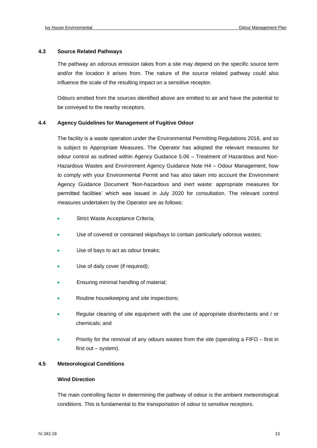#### **4.3 Source Related Pathways**

The pathway an odorous emission takes from a site may depend on the specific source term and/or the location it arises from. The nature of the source related pathway could also influence the scale of the resulting impact on a sensitive receptor.

Odours emitted from the sources identified above are emitted to air and have the potential to be conveyed to the nearby receptors.

#### **4.4 Agency Guidelines for Management of Fugitive Odour**

The facility is a waste operation under the Environmental Permitting Regulations 2016, and so is subject to Appropriate Measures. The Operator has adopted the relevant measures for odour control as outlined within Agency Guidance 5.06 – Treatment of Hazardous and Non-Hazardous Wastes and Environment Agency Guidance Note H4 – Odour Management, how to comply with your Environmental Permit and has also taken into account the Environment Agency Guidance Document 'Non-hazardous and inert waste: appropriate measures for permitted facilities' which was issued in July 2020 for consultation. The relevant control measures undertaken by the Operator are as follows:

- Strict Waste Acceptance Criteria;
- Use of covered or contained skips/bays to contain particularly odorous wastes;
- Use of bays to act as odour breaks;
- Use of daily cover (if required);
- Ensuring minimal handling of material;
- Routine housekeeping and site inspections;
- Regular cleaning of site equipment with the use of appropriate disinfectants and / or chemicals; and
- Priority for the removal of any odours wastes from the site (operating a FIFO first in first out – system).

#### **4.5 Meteorological Conditions**

#### **Wind Direction**

The main controlling factor in determining the pathway of odour is the ambient meteorological conditions. This is fundamental to the transportation of odour to sensitive receptors.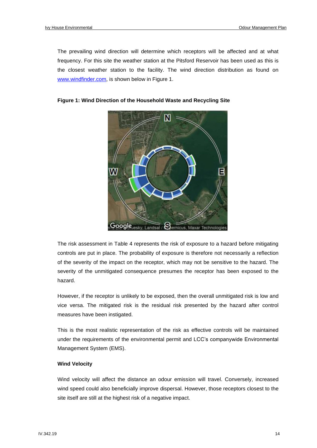The prevailing wind direction will determine which receptors will be affected and at what frequency. For this site the weather station at the Pitsford Reservoir has been used as this is the closest weather station to the facility. The wind direction distribution as found on [www.windfinder.com,](http://www.windfinder.com/) is shown below in Figure 1.



#### **Figure 1: Wind Direction of the Household Waste and Recycling Site**

The risk assessment in Table 4 represents the risk of exposure to a hazard before mitigating controls are put in place. The probability of exposure is therefore not necessarily a reflection of the severity of the impact on the receptor, which may not be sensitive to the hazard. The severity of the unmitigated consequence presumes the receptor has been exposed to the hazard.

However, if the receptor is unlikely to be exposed, then the overall unmitigated risk is low and vice versa. The mitigated risk is the residual risk presented by the hazard after control measures have been instigated.

This is the most realistic representation of the risk as effective controls will be maintained under the requirements of the environmental permit and LCC's companywide Environmental Management System (EMS).

#### **Wind Velocity**

Wind velocity will affect the distance an odour emission will travel. Conversely, increased wind speed could also beneficially improve dispersal. However, those receptors closest to the site itself are still at the highest risk of a negative impact.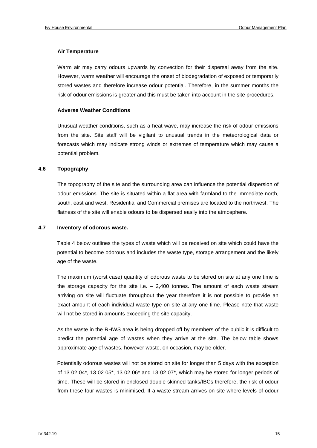#### **Air Temperature**

Warm air may carry odours upwards by convection for their dispersal away from the site. However, warm weather will encourage the onset of biodegradation of exposed or temporarily stored wastes and therefore increase odour potential. Therefore, in the summer months the risk of odour emissions is greater and this must be taken into account in the site procedures.

#### **Adverse Weather Conditions**

Unusual weather conditions, such as a heat wave, may increase the risk of odour emissions from the site. Site staff will be vigilant to unusual trends in the meteorological data or forecasts which may indicate strong winds or extremes of temperature which may cause a potential problem.

#### **4.6 Topography**

The topography of the site and the surrounding area can influence the potential dispersion of odour emissions. The site is situated within a flat area with farmland to the immediate north, south, east and west. Residential and Commercial premises are located to the northwest. The flatness of the site will enable odours to be dispersed easily into the atmosphere.

#### **4.7 Inventory of odorous waste.**

Table 4 below outlines the types of waste which will be received on site which could have the potential to become odorous and includes the waste type, storage arrangement and the likely age of the waste.

The maximum (worst case) quantity of odorous waste to be stored on site at any one time is the storage capacity for the site i.e.  $-2,400$  tonnes. The amount of each waste stream arriving on site will fluctuate throughout the year therefore it is not possible to provide an exact amount of each individual waste type on site at any one time. Please note that waste will not be stored in amounts exceeding the site capacity.

As the waste in the RHWS area is being dropped off by members of the public it is difficult to predict the potential age of wastes when they arrive at the site. The below table shows approximate age of wastes, however waste, on occasion, may be older.

Potentially odorous wastes will not be stored on site for longer than 5 days with the exception of 13 02 04\*, 13 02 05\*, 13 02 06\* and 13 02 07\*, which may be stored for longer periods of time. These will be stored in enclosed double skinned tanks/IBCs therefore, the risk of odour from these four wastes is minimised. If a waste stream arrives on site where levels of odour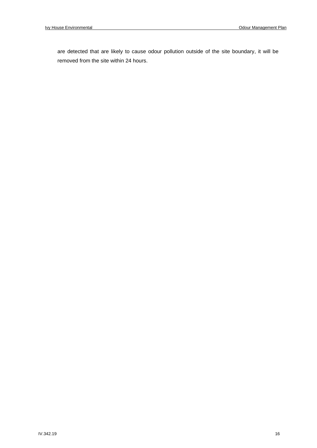are detected that are likely to cause odour pollution outside of the site boundary, it will be removed from the site within 24 hours.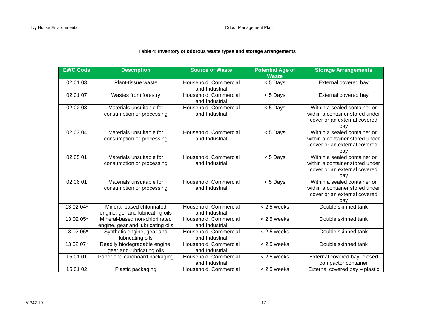#### **Table 4: Inventory of odorous waste types and storage arrangements**

| <b>EWC Code</b> | <b>Description</b>                                                 | <b>Source of Waste</b>                  | <b>Potential Age of</b><br><b>Waste</b> | <b>Storage Arrangements</b>                                                                            |
|-----------------|--------------------------------------------------------------------|-----------------------------------------|-----------------------------------------|--------------------------------------------------------------------------------------------------------|
| 02 01 03        | Plant-tissue waste                                                 | Household, Commercial<br>and Industrial | < 5 Days                                | External covered bay                                                                                   |
| 02 01 07        | Wastes from forestry                                               | Household, Commercial<br>and Industrial | < 5 Days                                | External covered bay                                                                                   |
| 02 02 03        | Materials unsuitable for<br>consumption or processing              | Household, Commercial<br>and Industrial | < 5 Days                                | Within a sealed container or<br>within a container stored under<br>cover or an external covered<br>bay |
| 02 03 04        | Materials unsuitable for<br>consumption or processing              | Household, Commercial<br>and Industrial | $< 5$ Days                              | Within a sealed container or<br>within a container stored under<br>cover or an external covered<br>bay |
| 02 05 01        | Materials unsuitable for<br>consumption or processing              | Household, Commercial<br>and Industrial | < 5 Days                                | Within a sealed container or<br>within a container stored under<br>cover or an external covered<br>bay |
| 02 06 01        | Materials unsuitable for<br>consumption or processing              | Household, Commercial<br>and Industrial | < 5 Days                                | Within a sealed container or<br>within a container stored under<br>cover or an external covered<br>bay |
| 13 02 04*       | Mineral-based chlorinated<br>engine, ger and lubricating oils      | Household, Commercial<br>and Industrial | $< 2.5$ weeks                           | Double skinned tank                                                                                    |
| 13 02 05*       | Mineral-based non-chlorinated<br>engine, gear and lubricating oils | Household, Commercial<br>and Industrial | $< 2.5$ weeks                           | Double skinned tank                                                                                    |
| 13 02 06*       | Synthetic engine, gear and<br>lubricating oils                     | Household, Commercial<br>and Industrial | $< 2.5$ weeks                           | Double skinned tank                                                                                    |
| 13 02 07*       | Readily biodegradable engine,<br>gear and lubricating oils         | Household, Commercial<br>and Industrial | $< 2.5$ weeks                           | Double skinned tank                                                                                    |
| 15 01 01        | Paper and cardboard packaging                                      | Household, Commercial<br>and Industrial | $< 2.5$ weeks                           | External covered bay- closed<br>compactor container                                                    |
| 15 01 02        | Plastic packaging                                                  | Household, Commercial                   | $< 2.5$ weeks                           | External covered bay - plastic                                                                         |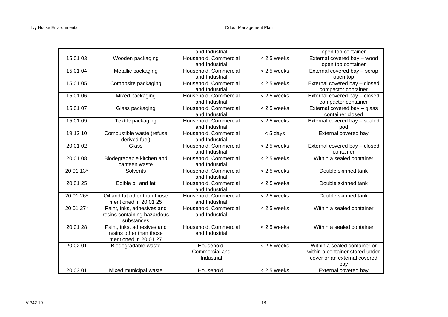|           |                              | and Industrial        |               | open top container              |
|-----------|------------------------------|-----------------------|---------------|---------------------------------|
| 15 01 03  | Wooden packaging             | Household, Commercial | $< 2.5$ weeks | External covered bay - wood     |
|           |                              | and Industrial        |               | open top container              |
| 15 01 04  | Metallic packaging           | Household, Commercial | $< 2.5$ weeks | External covered bay - scrap    |
|           |                              | and Industrial        |               | open top                        |
| 15 01 05  | Composite packaging          | Household, Commercial | $< 2.5$ weeks | External covered bay - closed   |
|           |                              | and Industrial        |               | compactor container             |
| 15 01 06  | Mixed packaging              | Household, Commercial | $< 2.5$ weeks | External covered bay - closed   |
|           |                              | and Industrial        |               | compactor container             |
| 15 01 07  | Glass packaging              | Household, Commercial | $< 2.5$ weeks | External covered bay - glass    |
|           |                              | and Industrial        |               | container closed                |
| 15 01 09  | Textile packaging            | Household, Commercial | $< 2.5$ weeks | External covered bay - sealed   |
|           |                              | and Industrial        |               | pod                             |
| 19 12 10  | Combustible waste (refuse    | Household, Commercial | $< 5$ days    | External covered bay            |
|           | derived fuel)                | and Industrial        |               |                                 |
| 20 01 02  | Glass                        | Household, Commercial | $< 2.5$ weeks | External covered bay - closed   |
|           |                              | and Industrial        |               | container                       |
| 20 01 08  | Biodegradable kitchen and    | Household, Commercial | $< 2.5$ weeks | Within a sealed container       |
|           | canteen waste                | and Industrial        |               |                                 |
| 20 01 13* | Solvents                     | Household, Commercial | $< 2.5$ weeks | Double skinned tank             |
|           |                              | and Industrial        |               |                                 |
| 20 01 25  | Edible oil and fat           | Household, Commercial | $< 2.5$ weeks | Double skinned tank             |
|           |                              | and Industrial        |               |                                 |
| 20 01 26* | Oil and fat other than those | Household, Commercial | $< 2.5$ weeks | Double skinned tank             |
|           | mentioned in 20 01 25        | and Industrial        |               |                                 |
| 20 01 27* | Paint, inks, adhesives and   | Household, Commercial | $< 2.5$ weeks | Within a sealed container       |
|           | resins containing hazardous  | and Industrial        |               |                                 |
|           | substances                   |                       |               |                                 |
| 20 01 28  | Paint, inks, adhesives and   | Household, Commercial | $< 2.5$ weeks | Within a sealed container       |
|           | resins other than those      | and Industrial        |               |                                 |
|           | mentioned in 20 01 27        |                       |               |                                 |
| 20 02 01  | Biodegradable waste          | Household,            | $< 2.5$ weeks | Within a sealed container or    |
|           |                              | Commercial and        |               | within a container stored under |
|           |                              | Industrial            |               | cover or an external covered    |
|           |                              |                       |               | bay                             |
| 20 03 01  | Mixed municipal waste        | Household,            | $< 2.5$ weeks | External covered bay            |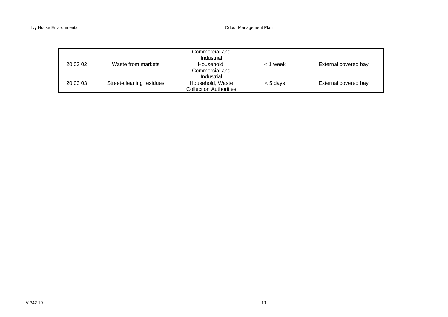|          |                          | Commercial and<br>Industrial                      |            |                      |
|----------|--------------------------|---------------------------------------------------|------------|----------------------|
| 20 03 02 | Waste from markets       | Household,<br>Commercial and<br>Industrial        | < 1 week   | External covered bay |
| 20 03 03 | Street-cleaning residues | Household, Waste<br><b>Collection Authorities</b> | $< 5$ days | External covered bay |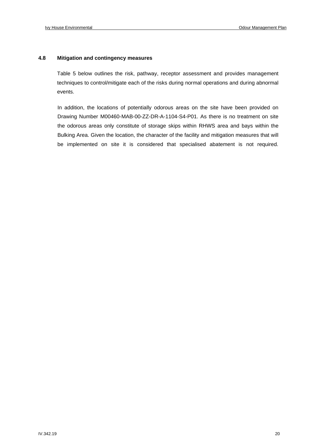#### **4.8 Mitigation and contingency measures**

Table 5 below outlines the risk, pathway, receptor assessment and provides management techniques to control/mitigate each of the risks during normal operations and during abnormal events.

In addition, the locations of potentially odorous areas on the site have been provided on Drawing Number M00460-MAB-00-ZZ-DR-A-1104-S4-P01. As there is no treatment on site the odorous areas only constitute of storage skips within RHWS area and bays within the Bulking Area. Given the location, the character of the facility and mitigation measures that will be implemented on site it is considered that specialised abatement is not required.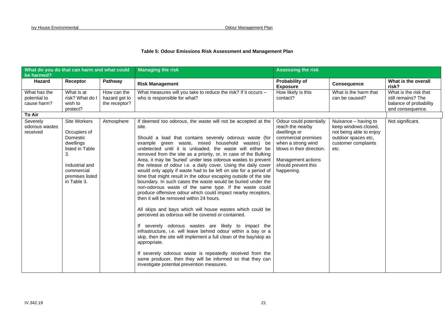#### **Table 5: Odour Emissions Risk Assessment and Management Plan**

| What do you do that can harm and what could<br>be harmed? |                                                                                                                                                  |                                               | <b>Managing the risk</b>                                                                                                                                                                                                                                                                                                                                                                                                                                                                                                                                                                                                                                                                                                                                                                                                                                                                                                                                                                                                                                                                                                                                                                                                                                                                                                                       | <b>Assessing the risk</b>                                                                                                                                                                        |                                                                                                                               |                                                                                           |
|-----------------------------------------------------------|--------------------------------------------------------------------------------------------------------------------------------------------------|-----------------------------------------------|------------------------------------------------------------------------------------------------------------------------------------------------------------------------------------------------------------------------------------------------------------------------------------------------------------------------------------------------------------------------------------------------------------------------------------------------------------------------------------------------------------------------------------------------------------------------------------------------------------------------------------------------------------------------------------------------------------------------------------------------------------------------------------------------------------------------------------------------------------------------------------------------------------------------------------------------------------------------------------------------------------------------------------------------------------------------------------------------------------------------------------------------------------------------------------------------------------------------------------------------------------------------------------------------------------------------------------------------|--------------------------------------------------------------------------------------------------------------------------------------------------------------------------------------------------|-------------------------------------------------------------------------------------------------------------------------------|-------------------------------------------------------------------------------------------|
| Hazard                                                    | Receptor                                                                                                                                         | Pathway                                       | <b>Risk Management</b>                                                                                                                                                                                                                                                                                                                                                                                                                                                                                                                                                                                                                                                                                                                                                                                                                                                                                                                                                                                                                                                                                                                                                                                                                                                                                                                         | Probability of<br><b>Exposure</b>                                                                                                                                                                | <b>Consequence</b>                                                                                                            | What is the overall<br>risk?                                                              |
| What has the<br>potential to<br>cause harm?<br>To Air     | What is at<br>risk? What do I<br>wish to<br>protect?                                                                                             | How can the<br>hazard get to<br>the receptor? | What measures will you take to reduce the risk? If it occurs -<br>who is responsible for what?                                                                                                                                                                                                                                                                                                                                                                                                                                                                                                                                                                                                                                                                                                                                                                                                                                                                                                                                                                                                                                                                                                                                                                                                                                                 | How likely is this<br>contact?                                                                                                                                                                   | What is the harm that<br>can be caused?                                                                                       | What is the risk that<br>still remains? The<br>balance of probability<br>and consequence. |
| Severely<br>odorous wastes<br>received                    | Site Workers<br>Occupiers of<br>Domestic<br>dwellings<br>listed in Table<br>3.<br>Industrial and<br>commercial<br>premises listed<br>in Table 3. | Atmosphere                                    | If deemed too odorous, the waste will not be accepted at the<br>site.<br>Should a load that contains severely odorous waste (for<br>example green waste, mixed household wastes) be<br>undetected until it is unloaded, the waste will either be<br>removed from the site as a priority, or, in case of the Bulking<br>Area, it may be 'buried' under less odorous wastes to prevent<br>the release of odour i.e. a daily cover. Using the daily cover<br>would only apply if waste had to be left on site for a period of<br>time that might result in the odour escaping outside of the site<br>boundary. In such cases the waste would be buried under the<br>non-odorous waste of the same type. If the waste could<br>produce offensive odour which could impact nearby receptors,<br>then it will be removed within 24 hours.<br>All skips and bays which will house wastes which could be<br>perceived as odorous will be covered or contained.<br>If severely odorous wastes are likely to impact the<br>infrastructure, i.e. will leave behind odour within a bay or a<br>skip, then the site will implement a full clean of the bay/skip as<br>appropriate.<br>If severely odorous waste is repeatedly received from the<br>same producer, then they will be informed so that they can<br>investigate potential prevention measures. | Odour could potentially<br>reach the nearby<br>dwellings or<br>commercial premises<br>when a strong wind<br>blows in their direction.<br>Management actions<br>should prevent this<br>happening. | Nuisance - having to<br>keep windows closed,<br>not being able to enjoy<br>outdoor spaces etc,<br>customer complaints<br>etc. | Not significant.                                                                          |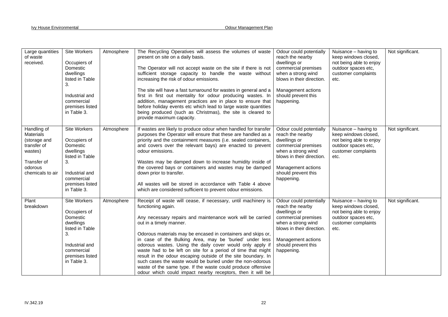| Large quantities<br>of waste<br>received.                                                                               | Site Workers<br>Occupiers of<br>Domestic<br>dwellings<br>listed in Table<br>3.<br>Industrial and<br>commercial<br>premises listed<br>in Table 3.        | Atmosphere | The Recycling Operatives will assess the volumes of waste<br>present on site on a daily basis.<br>The Operator will not accept waste on the site if there is not<br>sufficient storage capacity to handle the waste without<br>increasing the risk of odour emissions.<br>The site will have a fast turnaround for wastes in general and a<br>first in first out mentality for odour producing wastes. In<br>addition, management practices are in place to ensure that<br>before holiday events etc which lead to large waste quantities<br>being produced (such as Christmas), the site is cleared to<br>provide maximum capacity.                                                              | Odour could potentially<br>reach the nearby<br>dwellings or<br>commercial premises<br>when a strong wind<br>blows in their direction.<br>Management actions<br>should prevent this<br>happening. | Nuisance - having to<br>keep windows closed,<br>not being able to enjoy<br>outdoor spaces etc,<br>customer complaints<br>etc. | Not significant. |
|-------------------------------------------------------------------------------------------------------------------------|---------------------------------------------------------------------------------------------------------------------------------------------------------|------------|---------------------------------------------------------------------------------------------------------------------------------------------------------------------------------------------------------------------------------------------------------------------------------------------------------------------------------------------------------------------------------------------------------------------------------------------------------------------------------------------------------------------------------------------------------------------------------------------------------------------------------------------------------------------------------------------------|--------------------------------------------------------------------------------------------------------------------------------------------------------------------------------------------------|-------------------------------------------------------------------------------------------------------------------------------|------------------|
| Handling of<br><b>Materials</b><br>(storage and<br>transfer of<br>wastes)<br>Transfer of<br>odorous<br>chemicals to air | <b>Site Workers</b><br>Occupiers of<br>Domestic<br>dwellings<br>listed in Table<br>3.<br>Industrial and<br>commercial<br>premises listed<br>in Table 3. | Atmosphere | If wastes are likely to produce odour when handled for transfer<br>purposes the Operator will ensure that these are handled as a<br>priority and the containment measures (i.e. sealed containers,<br>and covers over the relevant bays) are enacted to prevent<br>odour emissions.<br>Wastes may be damped down to increase humidity inside of<br>the covered bays or containers and wastes may be damped<br>down prior to transfer.<br>All wastes will be stored in accordance with Table 4 above<br>which are considered sufficient to prevent odour emissions.                                                                                                                                | Odour could potentially<br>reach the nearby<br>dwellings or<br>commercial premises<br>when a strong wind<br>blows in their direction.<br>Management actions<br>should prevent this<br>happening. | Nuisance - having to<br>keep windows closed,<br>not being able to enjoy<br>outdoor spaces etc,<br>customer complaints<br>etc. | Not significant. |
| Plant<br>breakdown                                                                                                      | Site Workers<br>Occupiers of<br>Domestic<br>dwellings<br>listed in Table<br>3.<br>Industrial and<br>commercial<br>premises listed<br>in Table 3.        | Atmosphere | Receipt of waste will cease, if necessary, until machinery is<br>functioning again.<br>Any necessary repairs and maintenance work will be carried<br>out in a timely manner.<br>Odorous materials may be encased in containers and skips or,<br>in case of the Bulking Area, may be 'buried' under less<br>odorous wastes. Using the daily cover would only apply if<br>waste had to be left on site for a period of time that might<br>result in the odour escaping outside of the site boundary. In<br>such cases the waste would be buried under the non-odorous<br>waste of the same type. If the waste could produce offensive<br>odour which could impact nearby receptors, then it will be | Odour could potentially<br>reach the nearby<br>dwellings or<br>commercial premises<br>when a strong wind<br>blows in their direction.<br>Management actions<br>should prevent this<br>happening. | Nuisance - having to<br>keep windows closed,<br>not being able to enjoy<br>outdoor spaces etc,<br>customer complaints<br>etc. | Not significant. |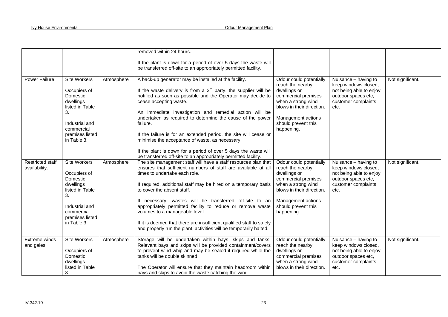|                                          |                                                                                                                                                  |            | removed within 24 hours.                                                                                                                                                                                                                                                                                                                                                                                                                                                                                                                                                                                             |                                                                                                                                                                                                  |                                                                                                                               |                  |
|------------------------------------------|--------------------------------------------------------------------------------------------------------------------------------------------------|------------|----------------------------------------------------------------------------------------------------------------------------------------------------------------------------------------------------------------------------------------------------------------------------------------------------------------------------------------------------------------------------------------------------------------------------------------------------------------------------------------------------------------------------------------------------------------------------------------------------------------------|--------------------------------------------------------------------------------------------------------------------------------------------------------------------------------------------------|-------------------------------------------------------------------------------------------------------------------------------|------------------|
|                                          |                                                                                                                                                  |            | If the plant is down for a period of over 5 days the waste will<br>be transferred off-site to an appropriately permitted facility.                                                                                                                                                                                                                                                                                                                                                                                                                                                                                   |                                                                                                                                                                                                  |                                                                                                                               |                  |
| <b>Power Failure</b>                     | Site Workers<br>Occupiers of<br>Domestic<br>dwellings<br>listed in Table<br>3.<br>Industrial and<br>commercial<br>premises listed<br>in Table 3. | Atmosphere | A back-up generator may be installed at the facility.<br>If the waste delivery is from a $3rd$ party, the supplier will be<br>notified as soon as possible and the Operator may decide to<br>cease accepting waste.<br>An immediate investigation and remedial action will be<br>undertaken as required to determine the cause of the power<br>failure.<br>If the failure is for an extended period, the site will cease or<br>minimise the acceptance of waste, as necessary.<br>If the plant is down for a period of over 5 days the waste will<br>be transferred off-site to an appropriately permitted facility. | Odour could potentially<br>reach the nearby<br>dwellings or<br>commercial premises<br>when a strong wind<br>blows in their direction.<br>Management actions<br>should prevent this<br>happening. | Nuisance - having to<br>keep windows closed,<br>not being able to enjoy<br>outdoor spaces etc,<br>customer complaints<br>etc. | Not significant. |
| <b>Restricted staff</b><br>availability. | Site Workers<br>Occupiers of<br>Domestic<br>dwellings<br>listed in Table<br>3.<br>Industrial and<br>commercial<br>premises listed<br>in Table 3. | Atmosphere | The site management staff will have a staff resources plan that<br>ensures that sufficient numbers of staff are available at all<br>times to undertake each role.<br>If required, additional staff may be hired on a temporary basis<br>to cover the absent staff.<br>If necessary, wastes will be transferred off-site to an<br>appropriately permitted facility to reduce or remove waste<br>volumes to a manageable level.<br>If it is deemed that there are insufficient qualified staff to safely<br>and properly run the plant, activities will be temporarily halted.                                         | Odour could potentially<br>reach the nearby<br>dwellings or<br>commercial premises<br>when a strong wind<br>blows in their direction.<br>Management actions<br>should prevent this<br>happening. | Nuisance - having to<br>keep windows closed,<br>not being able to enjoy<br>outdoor spaces etc,<br>customer complaints<br>etc. | Not significant. |
| Extreme winds<br>and gales               | <b>Site Workers</b><br>Occupiers of<br>Domestic<br>dwellings<br>listed in Table<br>3.                                                            | Atmosphere | Storage will be undertaken within bays, skips and tanks.<br>Relevant bays and skips will be provided containment/covers<br>to prevent wind whip and may be sealed if required while the<br>tanks will be double skinned.<br>The Operator will ensure that they maintain headroom within<br>bays and skips to avoid the waste catching the wind.                                                                                                                                                                                                                                                                      | Odour could potentially<br>reach the nearby<br>dwellings or<br>commercial premises<br>when a strong wind<br>blows in their direction.                                                            | Nuisance - having to<br>keep windows closed,<br>not being able to enjoy<br>outdoor spaces etc,<br>customer complaints<br>etc. | Not significant. |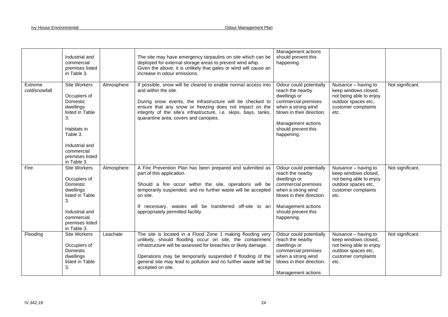|                          | Industrial and<br>commercial<br>premises listed<br>in Table 3.                                                                                                              |            | The site may have emergency tarpaulins on site which can be<br>deployed for external storage areas to prevent wind whip.<br>Given the above, it is unlikely that gales or wind will cause an<br>increase in odour emissions.                                                                                                                   | Management actions<br>should prevent this<br>happening.                                                                                                                                          |                                                                                                                               |                  |
|--------------------------|-----------------------------------------------------------------------------------------------------------------------------------------------------------------------------|------------|------------------------------------------------------------------------------------------------------------------------------------------------------------------------------------------------------------------------------------------------------------------------------------------------------------------------------------------------|--------------------------------------------------------------------------------------------------------------------------------------------------------------------------------------------------|-------------------------------------------------------------------------------------------------------------------------------|------------------|
| Extreme<br>cold/snowfall | Site Workers<br>Occupiers of<br>Domestic<br>dwellings<br>listed in Table<br>3.<br>Habitats in<br>Table 3.<br>Industrial and<br>commercial<br>premises listed<br>in Table 3. | Atmosphere | If possible, snow will be cleared to enable normal access into<br>and within the site.<br>During snow events, the infrastructure will be checked to<br>ensure that any snow or freezing does not impact on the<br>integrity of the site's infrastructure, i.e. skips, bays, tanks,<br>quarantine area, covers and canopies.                    | Odour could potentially<br>reach the nearby<br>dwellings or<br>commercial premises<br>when a strong wind<br>blows in their direction.<br>Management actions<br>should prevent this<br>happening. | Nuisance - having to<br>keep windows closed,<br>not being able to enjoy<br>outdoor spaces etc,<br>customer complaints<br>etc. | Not significant. |
| Fire                     | <b>Site Workers</b><br>Occupiers of<br>Domestic<br>dwellings<br>listed in Table<br>3.<br>Industrial and<br>commercial<br>premises listed<br>in Table 3.                     | Atmosphere | A Fire Prevention Plan has been prepared and submitted as<br>part of this application.<br>Should a fire occur within the site, operations will be<br>temporarily suspended, and no further waste will be accepted<br>on site.<br>If necessary, wastes will be transferred off-site to an<br>appropriately permitted facility.                  | Odour could potentially<br>reach the nearby<br>dwellings or<br>commercial premises<br>when a strong wind<br>blows in their direction.<br>Management actions<br>should prevent this<br>happening. | Nuisance - having to<br>keep windows closed,<br>not being able to enjoy<br>outdoor spaces etc,<br>customer complaints<br>etc. | Not significant. |
| Flooding                 | <b>Site Workers</b><br>Occupiers of<br>Domestic<br>dwellings<br>listed in Table<br>3.                                                                                       | Leachate   | The site is located in a Flood Zone 1 making flooding very<br>unlikely, should flooding occur on site, the containment<br>infrastructure will be assessed for breaches or likely damage.<br>Operations may be temporarily suspended if flooding of the<br>general site may lead to pollution and no further waste will be<br>accepted on site. | Odour could potentially<br>reach the nearby<br>dwellings or<br>commercial premises<br>when a strong wind<br>blows in their direction.<br>Management actions                                      | Nuisance - having to<br>keep windows closed,<br>not being able to enjoy<br>outdoor spaces etc,<br>customer complaints<br>etc. | Not significant. |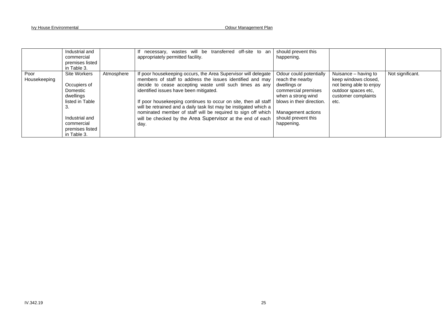|                      | Industrial and<br>commercial<br>premises listed<br>in Table 3.                                                                                   |            | necessary, wastes will be transferred off-site to an<br>appropriately permitted facility.                                                                                                                                                                                                                                                                                                                                                                                                                     | should prevent this<br>happening.                                                                                                                                                                |                                                                                                                               |                  |
|----------------------|--------------------------------------------------------------------------------------------------------------------------------------------------|------------|---------------------------------------------------------------------------------------------------------------------------------------------------------------------------------------------------------------------------------------------------------------------------------------------------------------------------------------------------------------------------------------------------------------------------------------------------------------------------------------------------------------|--------------------------------------------------------------------------------------------------------------------------------------------------------------------------------------------------|-------------------------------------------------------------------------------------------------------------------------------|------------------|
| Poor<br>Housekeeping | Site Workers<br>Occupiers of<br>Domestic<br>dwellings<br>listed in Table<br>З.<br>Industrial and<br>commercial<br>premises listed<br>in Table 3. | Atmosphere | If poor housekeeping occurs, the Area Supervisor will delegate<br>members of staff to address the issues identified and may<br>decide to cease accepting waste until such times as any<br>identified issues have been mitigated.<br>If poor housekeeping continues to occur on site, then all staff<br>will be retrained and a daily task list may be instigated which a<br>nominated member of staff will be required to sign off which<br>will be checked by the Area Supervisor at the end of each<br>day. | Odour could potentially<br>reach the nearby<br>dwellings or<br>commercial premises<br>when a strong wind<br>blows in their direction.<br>Management actions<br>should prevent this<br>happening. | Nuisance – having to<br>keep windows closed,<br>not being able to enjoy<br>outdoor spaces etc,<br>customer complaints<br>etc. | Not significant. |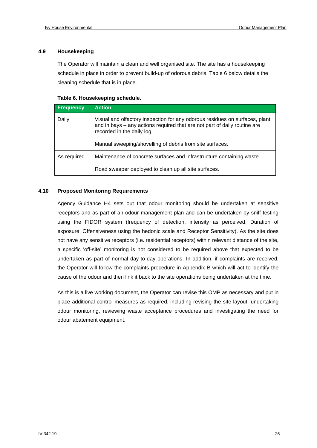#### **4.9 Housekeeping**

The Operator will maintain a clean and well organised site. The site has a housekeeping schedule in place in order to prevent build-up of odorous debris. Table 6 below details the cleaning schedule that is in place.

#### **Table 6. Housekeeping schedule.**

| Frequency   | <b>Action</b>                                                                                                                                                                          |
|-------------|----------------------------------------------------------------------------------------------------------------------------------------------------------------------------------------|
| Daily       | Visual and olfactory inspection for any odorous residues on surfaces, plant<br>and in bays – any actions required that are not part of daily routine are<br>recorded in the daily log. |
|             | Manual sweeping/shovelling of debris from site surfaces.                                                                                                                               |
| As required | Maintenance of concrete surfaces and infrastructure containing waste.                                                                                                                  |
|             | Road sweeper deployed to clean up all site surfaces.                                                                                                                                   |

#### **4.10 Proposed Monitoring Requirements**

Agency Guidance H4 sets out that odour monitoring should be undertaken at sensitive receptors and as part of an odour management plan and can be undertaken by sniff testing using the FIDOR system (frequency of detection, intensity as perceived, Duration of exposure, Offensiveness using the hedonic scale and Receptor Sensitivity). As the site does not have any sensitive receptors (i.e. residential receptors) within relevant distance of the site, a specific 'off-site' monitoring is not considered to be required above that expected to be undertaken as part of normal day-to-day operations. In addition, if complaints are received, the Operator will follow the complaints procedure in Appendix B which will act to identify the cause of the odour and then link it back to the site operations being undertaken at the time.

As this is a live working document, the Operator can revise this OMP as necessary and put in place additional control measures as required, including revising the site layout, undertaking odour monitoring, reviewing waste acceptance procedures and investigating the need for odour abatement equipment.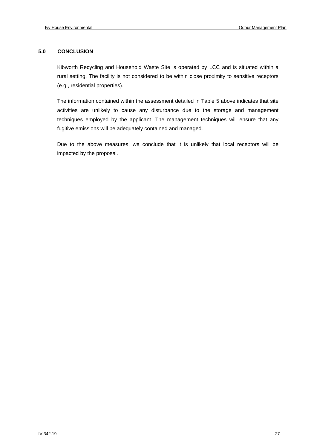#### **5.0 CONCLUSION**

Kibworth Recycling and Household Waste Site is operated by LCC and is situated within a rural setting. The facility is not considered to be within close proximity to sensitive receptors (e.g., residential properties).

The information contained within the assessment detailed in Table 5 above indicates that site activities are unlikely to cause any disturbance due to the storage and management techniques employed by the applicant. The management techniques will ensure that any fugitive emissions will be adequately contained and managed.

Due to the above measures, we conclude that it is unlikely that local receptors will be impacted by the proposal.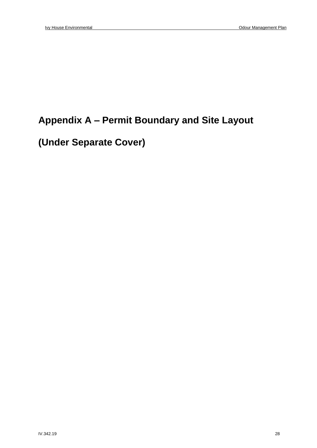## **Appendix A – Permit Boundary and Site Layout**

## **(Under Separate Cover)**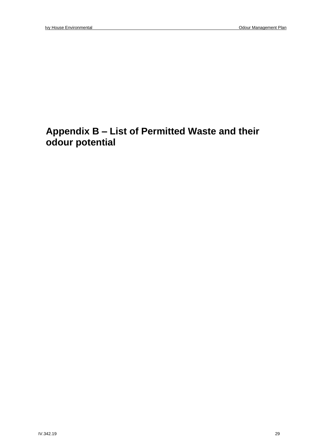### **Appendix B – List of Permitted Waste and their odour potential**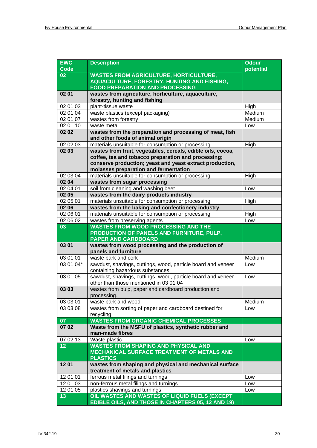| <b>EWC</b><br><b>Code</b> | <b>Description</b>                                                                           | <b>Odour</b><br>potential |  |
|---------------------------|----------------------------------------------------------------------------------------------|---------------------------|--|
| 02                        | <b>WASTES FROM AGRICULTURE, HORTICULTURE,</b>                                                |                           |  |
|                           | AQUACULTURE, FORESTRY, HUNTING AND FISHING,                                                  |                           |  |
|                           | <b>FOOD PREPARATION AND PROCESSING</b>                                                       |                           |  |
| 02 01                     | wastes from agriculture, horticulture, aquaculture,                                          |                           |  |
|                           | forestry, hunting and fishing                                                                |                           |  |
| 02 01 03                  | plant-tissue waste                                                                           | High                      |  |
| 020104                    | waste plastics (except packaging)                                                            | Medium                    |  |
| 02 01 07                  | wastes from forestry                                                                         | Medium                    |  |
| 02 01 10                  | waste metal                                                                                  | Low                       |  |
| 02 02                     | wastes from the preparation and processing of meat, fish<br>and other foods of animal origin |                           |  |
| 02 02 03                  | materials unsuitable for consumption or processing                                           | High                      |  |
| 02 03                     | wastes from fruit, vegetables, cereals, edible oils, cocoa,                                  |                           |  |
|                           | coffee, tea and tobacco preparation and processing;                                          |                           |  |
|                           | conserve production; yeast and yeast extract production,                                     |                           |  |
|                           | molasses preparation and fermentation                                                        |                           |  |
| 02 03 04                  | materials unsuitable for consumption or processing                                           | High                      |  |
| 02 04                     | wastes from sugar processing                                                                 |                           |  |
| 02 04 01                  | soil from cleaning and washing beet                                                          | Low                       |  |
| 02 05                     | wastes from the dairy products industry                                                      |                           |  |
| 02 05 01                  | materials unsuitable for consumption or processing                                           | High                      |  |
| 02 06                     | wastes from the baking and confectionery industry                                            |                           |  |
| 02 06 01                  | materials unsuitable for consumption or processing                                           | High                      |  |
| 02 06 02                  | wastes from preserving agents                                                                | Low                       |  |
| 03                        | <b>WASTES FROM WOOD PROCESSING AND THE</b>                                                   |                           |  |
|                           | <b>PRODUCTION OF PANELS AND FURNITURE, PULP,</b>                                             |                           |  |
|                           | <b>PAPER AND CARDBOARD</b>                                                                   |                           |  |
| 03 01                     | wastes from wood processing and the production of                                            |                           |  |
|                           | panels and furniture                                                                         |                           |  |
| 03 01 01                  | waste bark and cork                                                                          | Medium                    |  |
| 03 01 04*                 | sawdust, shavings, cuttings, wood, particle board and veneer                                 | Low                       |  |
|                           | containing hazardous substances                                                              |                           |  |
| 03 01 05                  | sawdust, shavings, cuttings, wood, particle board and veneer                                 | Low                       |  |
|                           | other than those mentioned in 03 01 04                                                       |                           |  |
| 03 03                     | wastes from pulp, paper and cardboard production and                                         |                           |  |
|                           | processing.                                                                                  |                           |  |
| 03 03 01<br>03 03 08      | waste bark and wood<br>wastes from sorting of paper and cardboard destined for               | Medium                    |  |
|                           | recycling                                                                                    | Low                       |  |
| 07                        | <b>WASTES FROM ORGANIC CHEMICAL PROCESSES</b>                                                |                           |  |
| 07 02                     | Waste from the MSFU of plastics, synthetic rubber and                                        |                           |  |
|                           | man-made fibres                                                                              |                           |  |
| 070213                    | Waste plastic                                                                                | Low                       |  |
| 12                        | <b>WASTES FROM SHAPING AND PHYSICAL AND</b>                                                  |                           |  |
|                           | <b>MECHANICAL SURFACE TREATMENT OF METALS AND</b>                                            |                           |  |
|                           | <b>PLASTICS</b>                                                                              |                           |  |
| 1201                      | wastes from shaping and physical and mechanical surface                                      |                           |  |
|                           | treatment of metals and plastics                                                             |                           |  |
| 12 01 01                  | ferrous metal filings and turnings                                                           | Low                       |  |
| 12 01 03                  | non-ferrous metal filings and turnings                                                       | Low                       |  |
| 12 01 05                  | plastics shavings and turnings                                                               | Low                       |  |
| 13                        | OIL WASTES AND WASTES OF LIQUID FUELS (EXCEPT                                                |                           |  |
|                           | EDIBLE OILS, AND THOSE IN CHAPTERS 05, 12 AND 19)                                            |                           |  |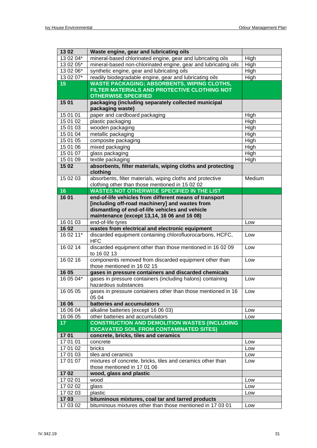| 1302            | Waste engine, gear and lubricating oils                                                  |        |
|-----------------|------------------------------------------------------------------------------------------|--------|
| 13 02 04*       | mineral-based chlorinated engine, gear and lubricating oils                              | High   |
| 13 02 05*       | mineral-based non-chlorinated engine, gear and lubricating oils                          | High   |
| 13 02 06*       | synthetic engine, gear and lubricating oils                                              | High   |
| 13 02 07*       | readily biodegradable engine, gear and lubricating oils                                  | High   |
| 15              | <b>WASTE PACKAGING; ABSORBENTS, WIPING CLOTHS,</b>                                       |        |
|                 | FILTER MATERIALS AND PROTECTIVE CLOTHING NOT                                             |        |
|                 | <b>OTHERWISE SPECIFIED</b>                                                               |        |
| 15 01           | packaging (including separately collected municipal                                      |        |
|                 | packaging waste)                                                                         |        |
| 15 01 01        | paper and cardboard packaging                                                            | High   |
| 15 01 02        | plastic packaging                                                                        | High   |
| 15 01 03        | wooden packaging                                                                         | High   |
| 15 01 04        | metallic packaging                                                                       | High   |
| 15 01 05        | composite packaging                                                                      | High   |
| 15 01 06        | mixed packaging                                                                          | High   |
| 15 01 07        | glass packaging                                                                          | High   |
| 15 01 09        | textile packaging                                                                        | High   |
| 15 02           | absorbents, filter materials, wiping cloths and protecting                               |        |
|                 | clothing                                                                                 |        |
| 15 02 03        | absorbents, filter materials, wiping cloths and protective                               | Medium |
|                 | clothing other than those mentioned in 15 02 02                                          |        |
| 16              | WASTES NOT OTHERWISE SPECIFIED IN THE LIST                                               |        |
| 1601            | end-of-life vehicles from different means of transport                                   |        |
|                 | [including off-road machinery] and wastes from                                           |        |
|                 | dismantling of end-of-life vehicles and vehicle                                          |        |
|                 | maintenance (except 13,14, 16 06 and 16 08)                                              |        |
| 16 01 03        | end-of-life tyres                                                                        | Low    |
| 1602            | wastes from electrical and electronic equipment                                          |        |
| 16 02 11*       | discarded equipment containing chlorofluorocarbons, HCFC,<br><b>HFC</b>                  | Low    |
| 160214          | discarded equipment other than those mentioned in 16 02 09<br>to 16 02 13                | Low    |
| 16 02 16        | components removed from discarded equipment other than<br>those mentioned in 16 02 15    | Low    |
| 16 05           | gases in pressure containers and discarded chemicals                                     |        |
| 16 05 04*       | gases in pressure containers (including halons) containing                               | Low    |
|                 | hazardous substances                                                                     |        |
| 16 05 05        | gases in pressure containers other than those mentioned in 16                            | Low    |
|                 | 05 04                                                                                    |        |
| 16 06           | batteries and accumulators                                                               |        |
| 16 06 04        |                                                                                          |        |
|                 | alkaline batteries (except 16 06 03)                                                     | Low    |
| 16 06 05        |                                                                                          | Low    |
| 17 <sub>1</sub> | other batteries and accumulators<br><b>CONSTRUCTION AND DEMOLITION WASTES (INCLUDING</b> |        |
|                 | <b>EXCAVATED SOIL FROM CONTAMINATED SITES)</b>                                           |        |
| 1701            | concrete, bricks, tiles and ceramics                                                     |        |
| 17 01 01        | concrete                                                                                 | Low    |
| 17 01 02        | bricks                                                                                   | Low    |
| 17 01 03        | tiles and ceramics                                                                       | Low    |
| 17 01 07        | mixtures of concrete, bricks, tiles and ceramics other than                              | Low    |
|                 | those mentioned in 17 01 06                                                              |        |
| 1702            | wood, glass and plastic                                                                  |        |
| 17 02 01        | wood                                                                                     | Low    |
| 17 02 02        | glass                                                                                    | Low    |
| 17 02 03        | plastic                                                                                  | Low    |
| 1703            | bituminous mixtures, coal tar and tarred products                                        |        |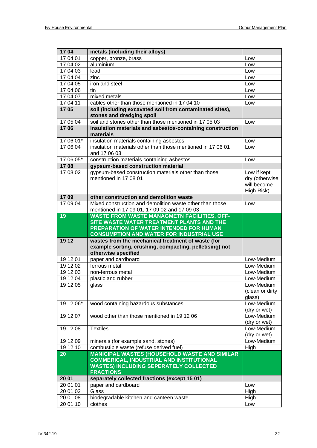| 1704      | metals (including their alloys)                                                                                                                                                               |                                                            |
|-----------|-----------------------------------------------------------------------------------------------------------------------------------------------------------------------------------------------|------------------------------------------------------------|
| 17 04 01  | copper, bronze, brass                                                                                                                                                                         | Low                                                        |
| 17 04 02  | aluminium                                                                                                                                                                                     | Low                                                        |
| 17 04 03  | lead                                                                                                                                                                                          | Low                                                        |
| 17 04 04  | zinc                                                                                                                                                                                          | Low                                                        |
| 17 04 05  | iron and steel                                                                                                                                                                                | Low                                                        |
| 17 04 06  | tin                                                                                                                                                                                           | Low                                                        |
| 17 04 07  | mixed metals                                                                                                                                                                                  | Low                                                        |
| 17 04 11  | cables other than those mentioned in 17 04 10                                                                                                                                                 | Low                                                        |
| 1705      | soil (including excavated soil from contaminated sites),<br>stones and dredging spoil                                                                                                         |                                                            |
| 17 05 04  | soil and stones other than those mentioned in 17 05 03                                                                                                                                        | Low                                                        |
| 1706      | insulation materials and asbestos-containing construction<br>materials                                                                                                                        |                                                            |
| 17 06 01* | insulation materials containing asbestos                                                                                                                                                      | Low                                                        |
| 17 06 04  | insulation materials other than those mentioned in 17 06 01<br>and 17 06 03                                                                                                                   | Low                                                        |
| 17 06 05* | construction materials containing asbestos                                                                                                                                                    | Low                                                        |
| 1708      | gypsum-based construction material                                                                                                                                                            |                                                            |
| 170802    | gypsum-based construction materials other than those<br>mentioned in 17 08 01                                                                                                                 | Low if kept<br>dry (otherwise<br>will become<br>High Risk) |
| 1709      | other construction and demolition waste                                                                                                                                                       |                                                            |
| 17 09 04  | Mixed construction and demolition waste other than those<br>mentioned in 17 09 01, 17 09 02 and 17 09 03                                                                                      | Low                                                        |
| 19        | <b>WASTE FROM WASTE MANAGMETN FACILITIES, OFF-</b><br>SITE WASTE WATER TREATMENT PLANTS AND THE<br>PREPARATION OF WATER INTENDED FOR HUMAN<br><b>CONSUMPTION AND WATER FOR INDUSTRIAL USE</b> |                                                            |
| 19 12     | wastes from the mechanical treatment of waste (for<br>example sorting, crushing, compacting, pelletising) not<br>otherwise specified                                                          |                                                            |
| 19 12 01  | paper and cardboard                                                                                                                                                                           | Low-Medium                                                 |
| 19 12 02  | ferrous metal                                                                                                                                                                                 | Low-Medium                                                 |
| 19 12 03  | non-ferrous metal                                                                                                                                                                             | Low-Medium                                                 |
| 19 12 04  | plastic and rubber                                                                                                                                                                            | Low-Medium                                                 |
| 19 12 05  | glass                                                                                                                                                                                         | Low-Medium<br>(clean or dirty<br>glass)                    |
| 19 12 06* | wood containing hazardous substances                                                                                                                                                          | Low-Medium<br>(dry or wet)                                 |
| 19 12 07  | wood other than those mentioned in 19 12 06                                                                                                                                                   | Low-Medium<br>(dry or wet)                                 |
| 19 12 08  | <b>Textiles</b>                                                                                                                                                                               | Low-Medium<br>(dry or wet)                                 |
| 19 12 09  | minerals (for example sand, stones)                                                                                                                                                           | Low-Medium                                                 |
| 191210    | combustible waste (refuse derived fuel)                                                                                                                                                       | High                                                       |
| 20        | <b>MANICIPAL WASTES (HOUSEHOLD WASTE AND SIMILAR</b><br><b>COMMERICAL, INDUSTRIAL AND INSTITUTIONAL</b><br><b>WASTES) INCLUDING SEPERATELY COLLECTED</b><br><b>FRACTIONS</b>                  |                                                            |
| 20 01     | separately collected fractions (except 15 01)                                                                                                                                                 |                                                            |
| 20 01 01  | paper and cardboard                                                                                                                                                                           | Low                                                        |
| 20 01 02  | Glass                                                                                                                                                                                         | High                                                       |
| 20 01 08  | biodegradable kitchen and canteen waste                                                                                                                                                       | High                                                       |
| 20 01 10  | clothes                                                                                                                                                                                       | Low                                                        |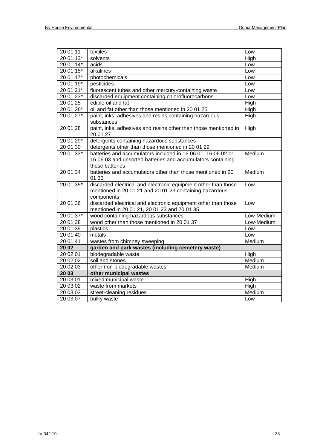| 20 01 11  | textiles                                                                                                       | Low        |
|-----------|----------------------------------------------------------------------------------------------------------------|------------|
| 20 01 13* | solvents                                                                                                       | High       |
| 20 01 14* | acids                                                                                                          | Low        |
| 20 01 15* | alkalines                                                                                                      | Low        |
| 20 01 17* | photochemicals                                                                                                 | Low        |
| 20 01 19* | pesticides                                                                                                     | Low        |
| 20 01 21* | fluorescent tubes and other mercury-containing waste                                                           | Low        |
| 20 01 23* | discarded equipment containing chlorofluorocarbons                                                             | Low        |
| 20 01 25  | edible oil and fat                                                                                             | High       |
| 20 01 26* | oil and fat other than those mentioned in 20 01 25                                                             | High       |
| 20 01 27* | paint, inks, adhesives and resins containing hazardous                                                         | High       |
|           | substances                                                                                                     |            |
| 20 01 28  | paint, inks, adhesives and resins other than those mentioned in<br>20 01 27                                    | High       |
| 20 01 29* | detergents containing hazardous substances                                                                     |            |
| 20 01 30  | detergents other than those mentioned in 20 01 29                                                              |            |
| 20 01 33* | batteries and accumulators included in 16 06 01, 16 06 02 or                                                   | Medium     |
|           | 16 06 03 and unsorted batteries and accumulators containing                                                    |            |
|           | these batteries                                                                                                |            |
| 20 01 34  | batteries and accumulators other than those mentioned in 20                                                    | Medium     |
|           | 01 33                                                                                                          |            |
| 20 01 35* | discarded electrical and electronic equipment other than those                                                 | Low        |
|           | mentioned in 20 01 21 and 20 01 23 containing hazardous                                                        |            |
| 20 01 36  | components                                                                                                     |            |
|           | discarded electrical and electronic equipment other than those<br>mentioned in 20 01 21, 20 01 23 and 20 01 35 | Low        |
| 20 01 37* | wood containing hazardous substances                                                                           | Low-Medium |
| 20 01 38  | wood other than those mentioned in 20 01 37                                                                    | Low-Medium |
| 20 01 39  | plastics                                                                                                       | Low        |
| 20 01 40  | metals                                                                                                         | Low        |
| 20 01 41  | wastes from chimney sweeping                                                                                   | Medium     |
| 20 02     | garden and park wastes (including cemetery waste)                                                              |            |
| 20 02 01  | biodegradable waste                                                                                            | High       |
| 20 02 02  | soil and stones                                                                                                | Medium     |
| 20 02 03  | other non-biodegradable wastes                                                                                 | Medium     |
| 20 03     | other municipal wastes                                                                                         |            |
| 20 03 01  | mixed municipal waste                                                                                          | High       |
| 20 03 02  | waste from markets                                                                                             | High       |
| 20 03 03  | street-cleaning residues                                                                                       | Medium     |
| 20 03 07  | bulky waste                                                                                                    | Low        |
|           |                                                                                                                |            |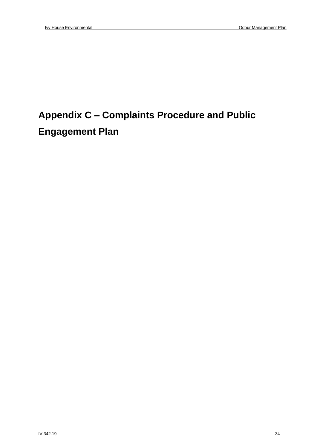## **Appendix C – Complaints Procedure and Public Engagement Plan**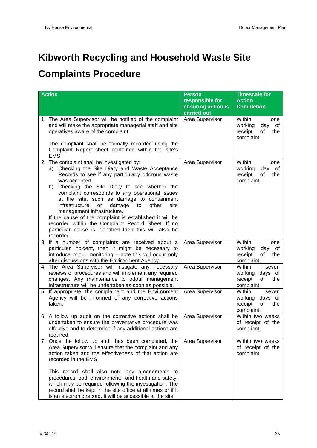## **Kibworth Recycling and Household Waste Site**

## **Complaints Procedure**

| <b>Action</b>                                                                                                                                                                                                                                                                                                                                                                                                                                                                                                                                                                                     | <b>Person</b><br>responsible for<br>ensuring action is<br>carried out | <b>Timescale for</b><br><b>Action</b><br><b>Completion</b>                  |
|---------------------------------------------------------------------------------------------------------------------------------------------------------------------------------------------------------------------------------------------------------------------------------------------------------------------------------------------------------------------------------------------------------------------------------------------------------------------------------------------------------------------------------------------------------------------------------------------------|-----------------------------------------------------------------------|-----------------------------------------------------------------------------|
| 1. The Area Supervisor will be notified of the complaint<br>and will make the appropriate managerial staff and site<br>operatives aware of the complaint.<br>The compliant shall be formally recorded using the                                                                                                                                                                                                                                                                                                                                                                                   | Area Supervisor                                                       | Within<br>one<br>working<br>day<br>of<br>receipt<br>of<br>the<br>complaint. |
| Complaint Report sheet contained within the site's<br>EMS.                                                                                                                                                                                                                                                                                                                                                                                                                                                                                                                                        |                                                                       |                                                                             |
| 2. The complaint shall be investigated by:<br>a) Checking the Site Diary and Waste Acceptance<br>Records to see if any particularly odorous waste<br>was accepted.<br>b) Checking the Site Diary to see whether the<br>complaint corresponds to any operational issues<br>at the site, such as damage to containment<br>infrastructure<br>damage<br>other<br>site<br>or<br>to<br>management infrastructure.<br>If the cause of the complaint is established it will be<br>recorded within the Complaint Record Sheet. If no<br>particular cause is identified then this will also be<br>recorded. | Area Supervisor                                                       | Within<br>one<br>working<br>day<br>of<br>receipt<br>of<br>the<br>complaint. |
| 3. If a number of complaints are received about a<br>particular incident, then it might be necessary to<br>introduce odour monitoring - note this will occur only<br>after discussions with the Environment Agency.                                                                                                                                                                                                                                                                                                                                                                               | Area Supervisor                                                       | Within<br>one<br>working<br>day<br>of<br>receipt<br>of<br>the<br>complaint. |
| 4. The Area Supervisor will instigate any necessary<br>reviews of procedures and will implement any required<br>changes. Any maintenance to odour management<br>infrastructure will be undertaken as soon as possible.                                                                                                                                                                                                                                                                                                                                                                            | Area Supervisor                                                       | Within<br>seven<br>working<br>days of<br>receipt<br>of<br>the<br>complaint. |
| 5. If appropriate, the complainant and the Environment<br>Agency will be informed of any corrective actions<br>taken.                                                                                                                                                                                                                                                                                                                                                                                                                                                                             | Area Supervisor                                                       | Within<br>seven<br>working<br>days of<br>receipt<br>of<br>the<br>complaint. |
| 6. A follow up audit on the corrective actions shall be<br>undertaken to ensure the preventative procedure was<br>effective and to determine if any additional actions are<br>required.                                                                                                                                                                                                                                                                                                                                                                                                           | Area Supervisor                                                       | Within two weeks<br>of receipt of the<br>compliant.                         |
| 7. Once the follow up audit has been completed, the<br>Area Supervisor will ensure that the complaint and any<br>action taken and the effectiveness of that action are<br>recorded in the EMS.                                                                                                                                                                                                                                                                                                                                                                                                    | Area Supervisor                                                       | Within two weeks<br>of receipt of the<br>complaint.                         |
| This record shall also note any amendments to<br>procedures, both environmental and health and safety,<br>which may be required following the investigation. The<br>record shall be kept in the site office at all times or if it<br>is an electronic record, it will be accessible at the site.                                                                                                                                                                                                                                                                                                  |                                                                       |                                                                             |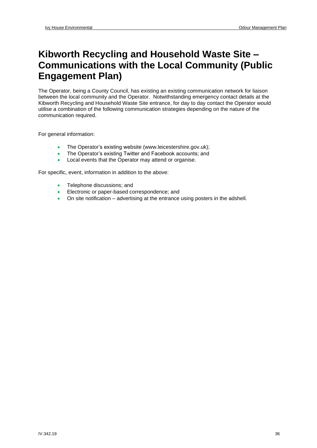### **Kibworth Recycling and Household Waste Site – Communications with the Local Community (Public Engagement Plan)**

The Operator, being a County Council, has existing an existing communication network for liaison between the local community and the Operator. Notwithstanding emergency contact details at the Kibworth Recycling and Household Waste Site entrance, for day to day contact the Operator would utilise a combination of the following communication strategies depending on the nature of the communication required.

For general information:

- The Operator's existing website [\(www.leicestershire.gov.uk\)](http://www.leicestershire.gov.uk/);
- The Operator's existing Twitter and Facebook accounts; and
- Local events that the Operator may attend or organise.

For specific, event, information in addition to the above:

- Telephone discussions: and
- Electronic or paper-based correspondence; and
- On site notification advertising at the entrance using posters in the adshell.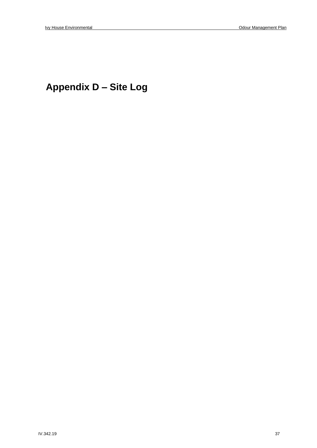## **Appendix D – Site Log**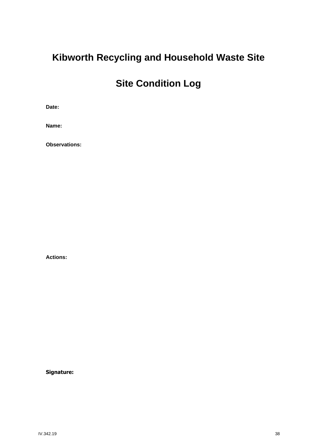## **Kibworth Recycling and Household Waste Site**

## **Site Condition Log**

**Date:**

**Name:**

**Observations:**

**Actions:**

**Signature:**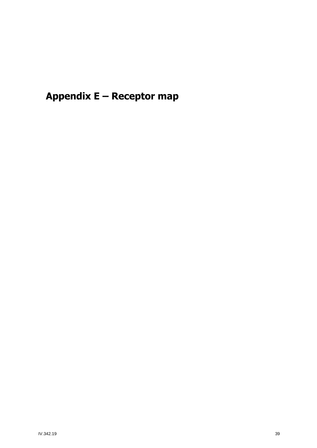**Appendix E – Receptor map**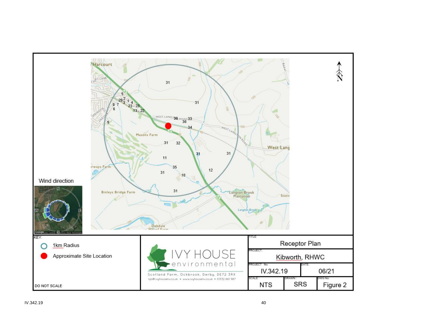